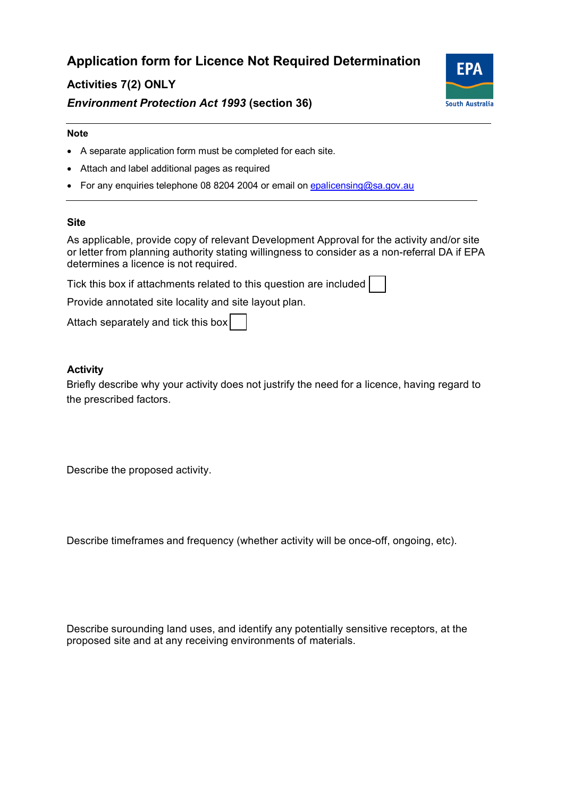# **Application form for Licence Not Required Determination**

# **Activities 7(2) ONLY**





#### **Note**

- A separate application form must be completed for each site.
- Attach and label additional pages as required
- For any enquiries telephone 08 8204 2004 or email on epalicensing@sa.gov.au

#### **Site**

As applicable, provide copy of relevant Development Approval for the activity and/or site or letter from planning authority stating willingness to consider as a non-referral DA if EPA determines a licence is not required.

Tick this box if attachments related to this question are included

Provide annotated site locality and site layout plan.

Attach separately and tick this box

# **Activity**

Briefly describe why your activity does not justrify the need for a licence, having regard to the prescribed factors.

Describe the proposed activity.

Describe timeframes and frequency (whether activity will be once-off, ongoing, etc).

Describe surounding land uses, and identify any potentially sensitive receptors, at the proposed site and at any receiving environments of materials.